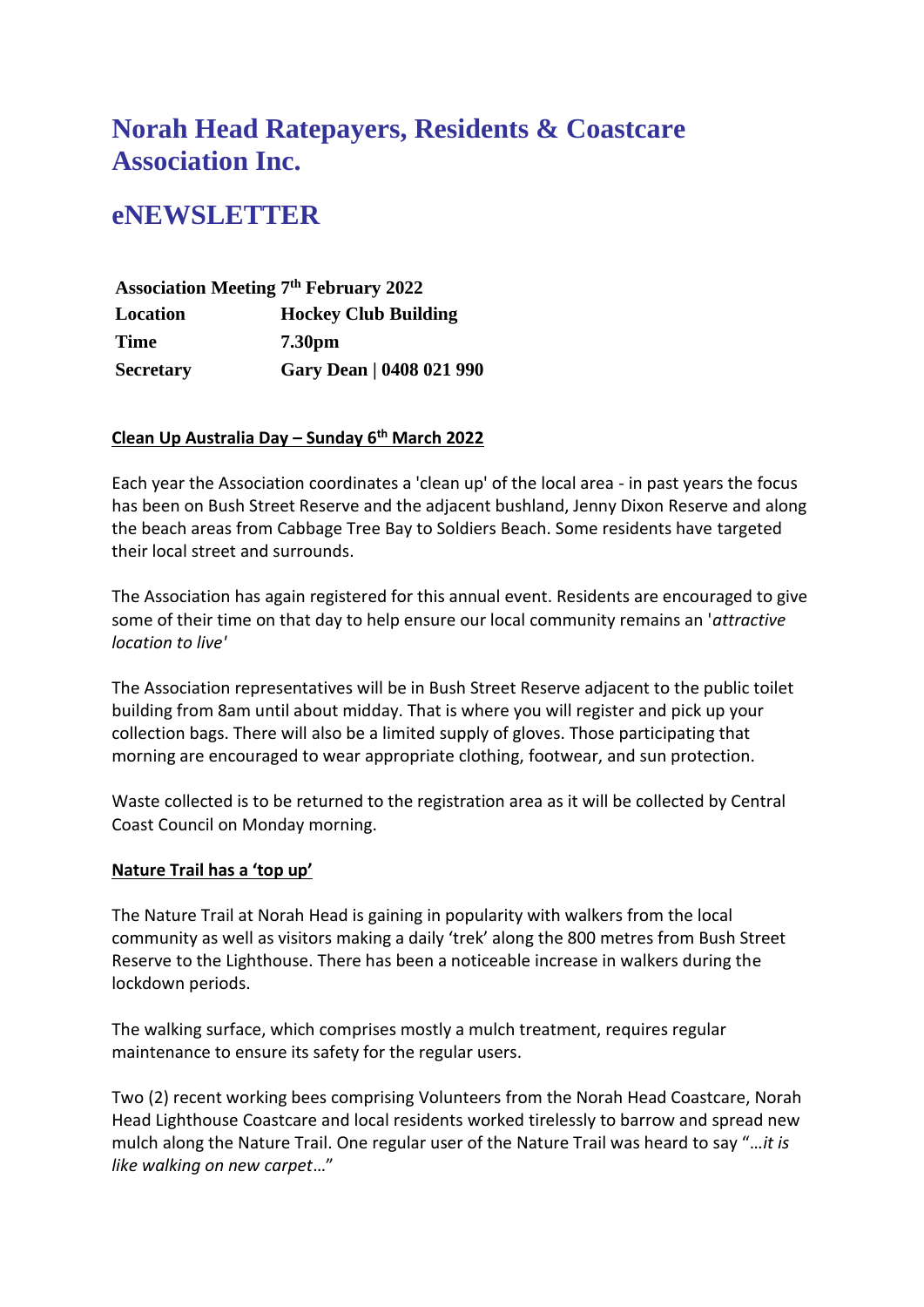# **Norah Head Ratepayers, Residents & Coastcare Association Inc.**

# **eNEWSLETTER**

**Association Meeting 7 th February 2022 Location Hockey Club Building Time 7.30pm Secretary Gary Dean | 0408 021 990**

## **Clean Up Australia Day – Sunday 6th March 2022**

Each year the Association coordinates a 'clean up' of the local area - in past years the focus has been on Bush Street Reserve and the adjacent bushland, Jenny Dixon Reserve and along the beach areas from Cabbage Tree Bay to Soldiers Beach. Some residents have targeted their local street and surrounds.

The Association has again registered for this annual event. Residents are encouraged to give some of their time on that day to help ensure our local community remains an '*attractive location to live'*

The Association representatives will be in Bush Street Reserve adjacent to the public toilet building from 8am until about midday. That is where you will register and pick up your collection bags. There will also be a limited supply of gloves. Those participating that morning are encouraged to wear appropriate clothing, footwear, and sun protection.

Waste collected is to be returned to the registration area as it will be collected by Central Coast Council on Monday morning.

#### **Nature Trail has a 'top up'**

The Nature Trail at Norah Head is gaining in popularity with walkers from the local community as well as visitors making a daily 'trek' along the 800 metres from Bush Street Reserve to the Lighthouse. There has been a noticeable increase in walkers during the lockdown periods.

The walking surface, which comprises mostly a mulch treatment, requires regular maintenance to ensure its safety for the regular users.

Two (2) recent working bees comprising Volunteers from the Norah Head Coastcare, Norah Head Lighthouse Coastcare and local residents worked tirelessly to barrow and spread new mulch along the Nature Trail. One regular user of the Nature Trail was heard to say "…*it is like walking on new carpet*…"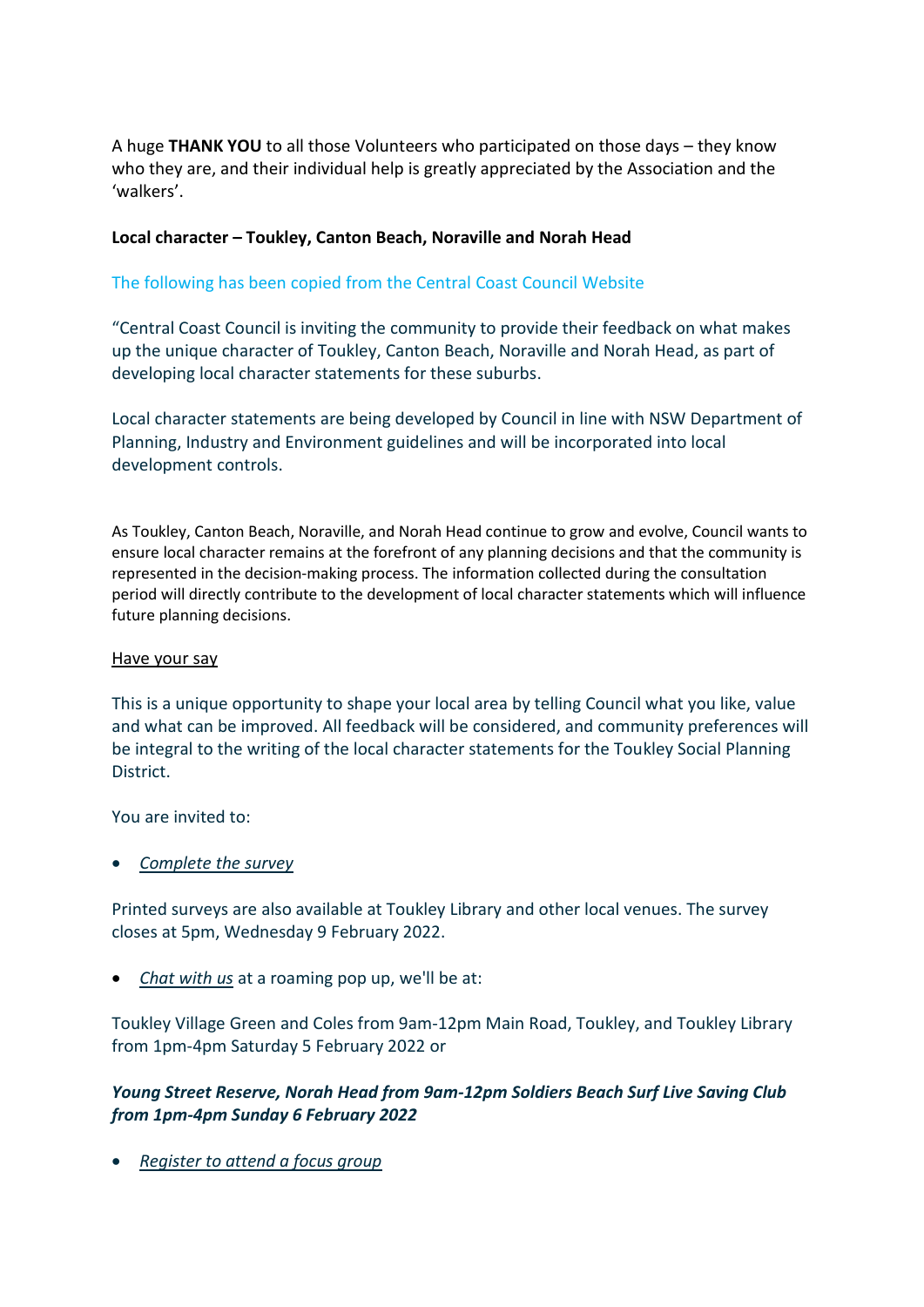A huge **THANK YOU** to all those Volunteers who participated on those days – they know who they are, and their individual help is greatly appreciated by the Association and the 'walkers'.

#### **Local character – Toukley, Canton Beach, Noraville and Norah Head**

### The following has been copied from the Central Coast Council Website

"Central Coast Council is inviting the community to provide their feedback on what makes up the unique character of Toukley, Canton Beach, Noraville and Norah Head, as part of developing local character statements for these suburbs.

Local character statements are being developed by Council in line with NSW Department of Planning, Industry and Environment guidelines and will be incorporated into local development controls.

As Toukley, Canton Beach, Noraville, and Norah Head continue to grow and evolve, Council wants to ensure local character remains at the forefront of any planning decisions and that the community is represented in the decision-making process. The information collected during the consultation period will directly contribute to the development of local character statements which will influence future planning decisions.

#### Have your say

This is a unique opportunity to shape your local area by telling Council what you like, value and what can be improved. All feedback will be considered, and community preferences will be integral to the writing of the local character statements for the Toukley Social Planning District.

You are invited to:

• *Complete the survey* 

Printed surveys are also available at Toukley Library and other local venues. The survey closes at 5pm, Wednesday 9 February 2022.

• *Chat with us* at a roaming pop up, we'll be at:

Toukley Village Green and Coles from 9am-12pm Main Road, Toukley, and Toukley Library from 1pm-4pm Saturday 5 February 2022 or

## *Young Street Reserve, Norah Head from 9am-12pm Soldiers Beach Surf Live Saving Club from 1pm-4pm Sunday 6 February 2022*

• *Register to attend a focus group*